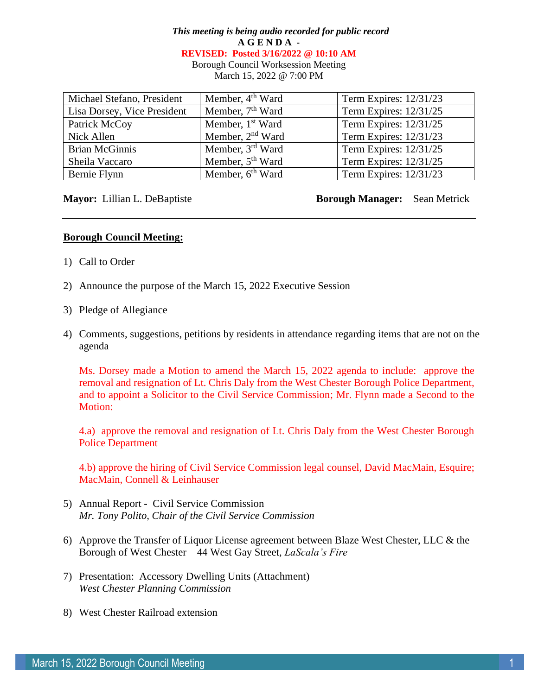# *This meeting is being audio recorded for public record* **A G E N D A - REVISED: Posted 3/16/2022 @ 10:10 AM** Borough Council Worksession Meeting

March 15, 2022 @ 7:00 PM

| Michael Stefano, President  | Member, 4 <sup>th</sup> Ward | Term Expires: 12/31/23 |
|-----------------------------|------------------------------|------------------------|
| Lisa Dorsey, Vice President | Member, 7 <sup>th</sup> Ward | Term Expires: 12/31/25 |
| Patrick McCoy               | Member, 1 <sup>st</sup> Ward | Term Expires: 12/31/25 |
| Nick Allen                  | Member, 2 <sup>nd</sup> Ward | Term Expires: 12/31/23 |
| <b>Brian McGinnis</b>       | Member, 3 <sup>rd</sup> Ward | Term Expires: 12/31/25 |
| Sheila Vaccaro              | Member, 5 <sup>th</sup> Ward | Term Expires: 12/31/25 |
| Bernie Flynn                | Member, 6 <sup>th</sup> Ward | Term Expires: 12/31/23 |

## **Mayor:** Lillian L. DeBaptiste **Borough Manager:** Sean Metrick

## **Borough Council Meeting:**

- 1) Call to Order
- 2) Announce the purpose of the March 15, 2022 Executive Session
- 3) Pledge of Allegiance
- 4) Comments, suggestions, petitions by residents in attendance regarding items that are not on the agenda

Ms. Dorsey made a Motion to amend the March 15, 2022 agenda to include: approve the removal and resignation of Lt. Chris Daly from the West Chester Borough Police Department, and to appoint a Solicitor to the Civil Service Commission; Mr. Flynn made a Second to the Motion:

4.a) approve the removal and resignation of Lt. Chris Daly from the West Chester Borough Police Department

4.b) approve the hiring of Civil Service Commission legal counsel, David MacMain, Esquire; MacMain, Connell & Leinhauser

- 5) Annual Report Civil Service Commission *Mr. Tony Polito, Chair of the Civil Service Commission*
- 6) Approve the Transfer of Liquor License agreement between Blaze West Chester, LLC & the Borough of West Chester – 44 West Gay Street, *LaScala's Fire*
- 7) Presentation: Accessory Dwelling Units (Attachment) *West Chester Planning Commission*
- 8) West Chester Railroad extension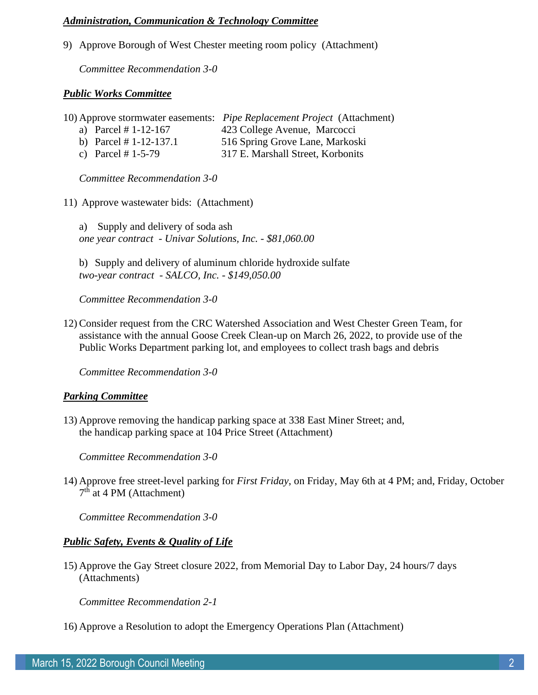#### *Administration, Communication & Technology Committee*

9) Approve Borough of West Chester meeting room policy (Attachment)

*Committee Recommendation 3-0*

#### *Public Works Committee*

| 10) Approve stormwater easements: Pipe Replacement Project (Attachment) |  |  |
|-------------------------------------------------------------------------|--|--|
|-------------------------------------------------------------------------|--|--|

- a) Parcel # 1-12-167 423 College Avenue, Marcocci
- b) Parcel # 1-12-137.1 516 Spring Grove Lane, Markoski
- c) Parcel # 1-5-79 317 E. Marshall Street, Korbonits

*Committee Recommendation 3-0*

11) Approve wastewater bids: (Attachment)

a) Supply and delivery of soda ash *one year contract - Univar Solutions, Inc. - \$81,060.00*

b) Supply and delivery of aluminum chloride hydroxide sulfate *two-year contract - SALCO, Inc. - \$149,050.00*

*Committee Recommendation 3-0*

12) Consider request from the CRC Watershed Association and West Chester Green Team, for assistance with the annual Goose Creek Clean-up on March 26, 2022, to provide use of the Public Works Department parking lot, and employees to collect trash bags and debris

*Committee Recommendation 3-0*

## *Parking Committee*

13) Approve removing the handicap parking space at 338 East Miner Street; and, the handicap parking space at 104 Price Street (Attachment)

*Committee Recommendation 3-0*

14) Approve free street-level parking for *First Friday*, on Friday, May 6th at 4 PM; and, Friday, October 7<sup>th</sup> at 4 PM (Attachment)

*Committee Recommendation 3-0*

## *Public Safety, Events & Quality of Life*

15) Approve the Gay Street closure 2022, from Memorial Day to Labor Day, 24 hours/7 days (Attachments)

*Committee Recommendation 2-1*

16) Approve a Resolution to adopt the Emergency Operations Plan (Attachment)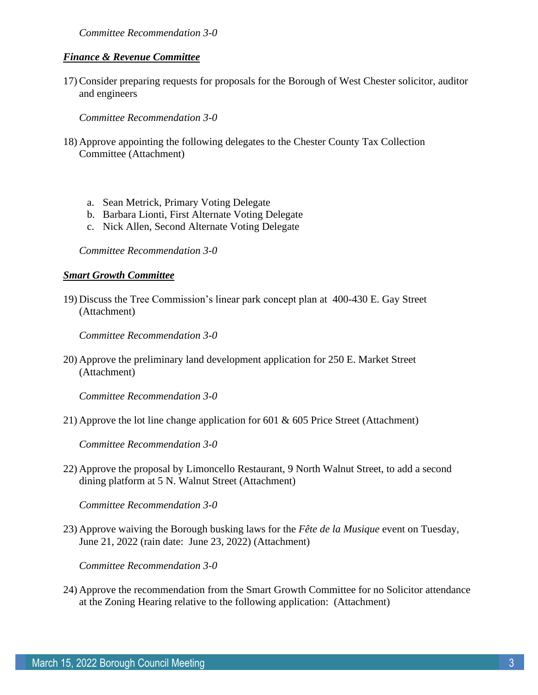*Committee Recommendation 3-0*

#### *Finance & Revenue Committee*

17) Consider preparing requests for proposals for the Borough of West Chester solicitor, auditor and engineers

*Committee Recommendation 3-0*

- 18) Approve appointing the following delegates to the Chester County Tax Collection Committee (Attachment)
	- a. Sean Metrick, Primary Voting Delegate
	- b. Barbara Lionti, First Alternate Voting Delegate
	- c. Nick Allen, Second Alternate Voting Delegate

*Committee Recommendation 3-0*

#### *Smart Growth Committee*

19) Discuss the Tree Commission's linear park concept plan at 400-430 E. Gay Street (Attachment)

*Committee Recommendation 3-0*

20) Approve the preliminary land development application for 250 E. Market Street (Attachment)

*Committee Recommendation 3-0*

21) Approve the lot line change application for 601 & 605 Price Street (Attachment)

*Committee Recommendation 3-0*

22) Approve the proposal by Limoncello Restaurant, 9 North Walnut Street, to add a second dining platform at 5 N. Walnut Street (Attachment)

*Committee Recommendation 3-0*

23) Approve waiving the Borough busking laws for the *Fête de la Musique* event on Tuesday, June 21, 2022 (rain date: June 23, 2022) (Attachment)

*Committee Recommendation 3-0*

24) Approve the recommendation from the Smart Growth Committee for no Solicitor attendance at the Zoning Hearing relative to the following application: (Attachment)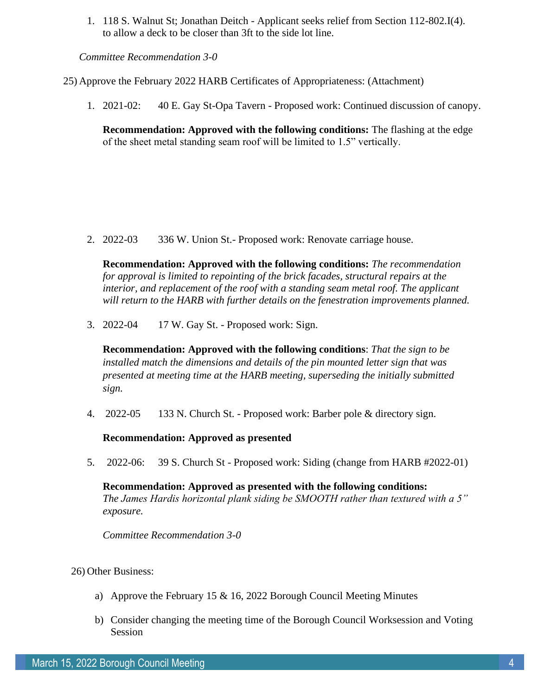1. 118 S. Walnut St; Jonathan Deitch - Applicant seeks relief from Section 112-802.I(4). to allow a deck to be closer than 3ft to the side lot line.

*Committee Recommendation 3-0*

25) Approve the February 2022 HARB Certificates of Appropriateness: (Attachment)

1. 2021-02: 40 E. Gay St-Opa Tavern - Proposed work: Continued discussion of canopy.

**Recommendation: Approved with the following conditions:** The flashing at the edge of the sheet metal standing seam roof will be limited to 1.5" vertically.

2. 2022-03 336 W. Union St.- Proposed work: Renovate carriage house.

**Recommendation: Approved with the following conditions:** *The recommendation for approval is limited to repointing of the brick facades, structural repairs at the interior, and replacement of the roof with a standing seam metal roof. The applicant will return to the HARB with further details on the fenestration improvements planned.* 

3. 2022-04 17 W. Gay St. - Proposed work: Sign.

**Recommendation: Approved with the following conditions**: *That the sign to be installed match the dimensions and details of the pin mounted letter sign that was presented at meeting time at the HARB meeting, superseding the initially submitted sign.*

4. 2022-05 133 N. Church St. - Proposed work: Barber pole & directory sign.

**Recommendation: Approved as presented**

5. 2022-06: 39 S. Church St - Proposed work: Siding (change from HARB #2022-01)

**Recommendation: Approved as presented with the following conditions:** *The James Hardis horizontal plank siding be SMOOTH rather than textured with a 5" exposure.* 

*Committee Recommendation 3-0*

## 26) Other Business:

- a) Approve the February 15 & 16, 2022 Borough Council Meeting Minutes
- b) Consider changing the meeting time of the Borough Council Worksession and Voting Session